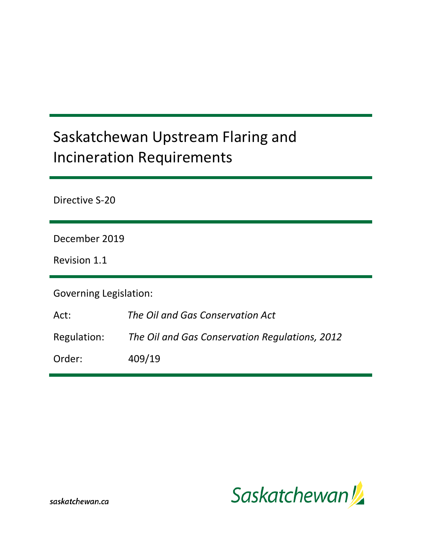# Saskatchewan Upstream Flaring and Incineration Requirements

Directive S-20

December 2019

Revision 1.1

Governing Legislation:

| The Oil and Gas Conservation Act |
|----------------------------------|
|                                  |

Regulation: *The Oil and Gas Conservation Regulations, 2012*

Order: 409/19



saskatchewan.ca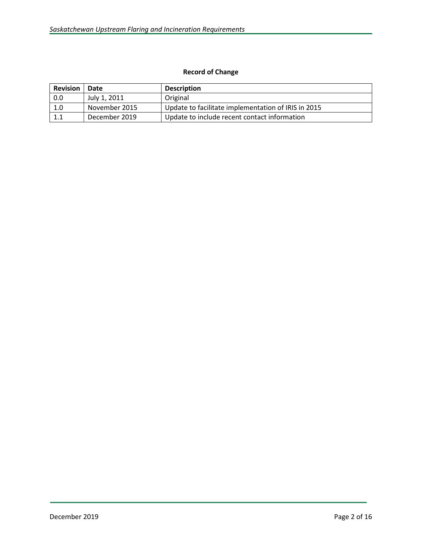# **Record of Change**

| <b>Revision</b> | Date          | <b>Description</b>                                  |
|-----------------|---------------|-----------------------------------------------------|
| 0.0             | July 1, 2011  | Original                                            |
| 1.0             | November 2015 | Update to facilitate implementation of IRIS in 2015 |
| 1.1             | December 2019 | Update to include recent contact information        |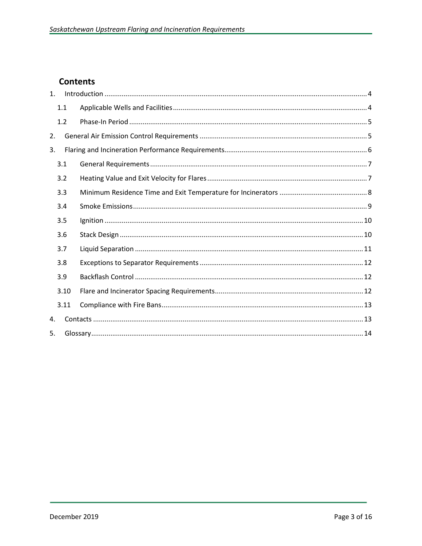# **Contents**

| 1. |      |  |  |  |  |  |  |  |
|----|------|--|--|--|--|--|--|--|
|    | 1.1  |  |  |  |  |  |  |  |
|    | 1.2  |  |  |  |  |  |  |  |
| 2. |      |  |  |  |  |  |  |  |
| 3. |      |  |  |  |  |  |  |  |
|    | 3.1  |  |  |  |  |  |  |  |
|    | 3.2  |  |  |  |  |  |  |  |
|    | 3.3  |  |  |  |  |  |  |  |
|    | 3.4  |  |  |  |  |  |  |  |
|    | 3.5  |  |  |  |  |  |  |  |
|    | 3.6  |  |  |  |  |  |  |  |
|    | 3.7  |  |  |  |  |  |  |  |
|    | 3.8  |  |  |  |  |  |  |  |
|    | 3.9  |  |  |  |  |  |  |  |
|    | 3.10 |  |  |  |  |  |  |  |
|    | 3.11 |  |  |  |  |  |  |  |
| 4. |      |  |  |  |  |  |  |  |
| 5. |      |  |  |  |  |  |  |  |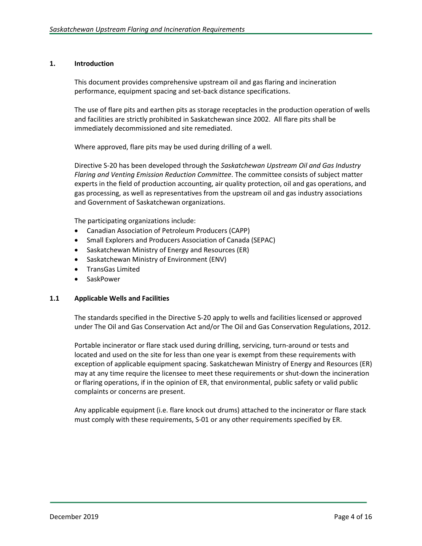#### <span id="page-3-0"></span>**1. Introduction**

This document provides comprehensive upstream oil and gas flaring and incineration performance, equipment spacing and set-back distance specifications.

The use of flare pits and earthen pits as storage receptacles in the production operation of wells and facilities are strictly prohibited in Saskatchewan since 2002. All flare pits shall be immediately decommissioned and site remediated.

Where approved, flare pits may be used during drilling of a well.

Directive S-20 has been developed through the *Saskatchewan Upstream Oil and Gas Industry Flaring and Venting Emission Reduction Committee*. The committee consists of subject matter experts in the field of production accounting, air quality protection, oil and gas operations, and gas processing, as well as representatives from the upstream oil and gas industry associations and Government of Saskatchewan organizations.

The participating organizations include:

- Canadian Association of Petroleum Producers (CAPP)
- Small Explorers and Producers Association of Canada (SEPAC)
- Saskatchewan Ministry of Energy and Resources (ER)
- Saskatchewan Ministry of Environment (ENV)
- TransGas Limited
- SaskPower

#### <span id="page-3-1"></span>**1.1 Applicable Wells and Facilities**

The standards specified in the Directive S-20 apply to wells and facilities licensed or approved under The Oil and Gas Conservation Act and/or The Oil and Gas Conservation Regulations, 2012.

Portable incinerator or flare stack used during drilling, servicing, turn-around or tests and located and used on the site for less than one year is exempt from these requirements with exception of applicable equipment spacing. Saskatchewan Ministry of Energy and Resources (ER) may at any time require the licensee to meet these requirements or shut-down the incineration or flaring operations, if in the opinion of ER, that environmental, public safety or valid public complaints or concerns are present.

Any applicable equipment (i.e. flare knock out drums) attached to the incinerator or flare stack must comply with these requirements, S-01 or any other requirements specified by ER.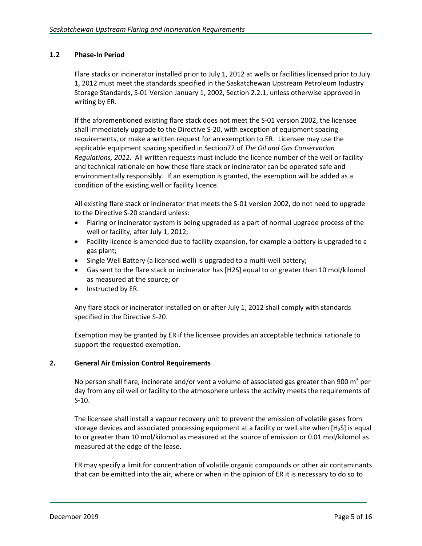# <span id="page-4-0"></span>**1.2 Phase-In Period**

Flare stacks or incinerator installed prior to July 1, 2012 at wells or facilities licensed prior to July 1, 2012 must meet the standards specified in the Saskatchewan Upstream Petroleum Industry Storage Standards, S-01 Version January 1, 2002, Section 2.2.1, unless otherwise approved in writing by ER.

If the aforementioned existing flare stack does not meet the S-01 version 2002, the licensee shall immediately upgrade to the Directive S-20, with exception of equipment spacing requirements, or make a written request for an exemption to ER. Licensee may use the applicable equipment spacing specified in Section72 of *The Oil and Gas Conservation Regulations, 2012*. All written requests must include the licence number of the well or facility and technical rationale on how these flare stack or incinerator can be operated safe and environmentally responsibly. If an exemption is granted, the exemption will be added as a condition of the existing well or facility licence.

All existing flare stack or incinerator that meets the S-01 version 2002, do not need to upgrade to the Directive S-20 standard unless:

- Flaring or incinerator system is being upgraded as a part of normal upgrade process of the well or facility, after July 1, 2012;
- Facility licence is amended due to facility expansion, for example a battery is upgraded to a gas plant;
- Single Well Battery (a licensed well) is upgraded to a multi-well battery;
- Gas sent to the flare stack or incinerator has [H2S] equal to or greater than 10 mol/kilomol as measured at the source; or
- Instructed by ER.

Any flare stack or incinerator installed on or after July 1, 2012 shall comply with standards specified in the Directive S-20.

Exemption may be granted by ER if the licensee provides an acceptable technical rationale to support the requested exemption.

# <span id="page-4-1"></span>**2. General Air Emission Control Requirements**

No person shall flare, incinerate and/or vent a volume of associated gas greater than 900  $m^3$  per day from any oil well or facility to the atmosphere unless the activity meets the requirements of S-10.

The licensee shall install a vapour recovery unit to prevent the emission of volatile gases from storage devices and associated processing equipment at a facility or well site when [H<sub>2</sub>S] is equal to or greater than 10 mol/kilomol as measured at the source of emission or 0.01 mol/kilomol as measured at the edge of the lease.

ER may specify a limit for concentration of volatile organic compounds or other air contaminants that can be emitted into the air, where or when in the opinion of ER it is necessary to do so to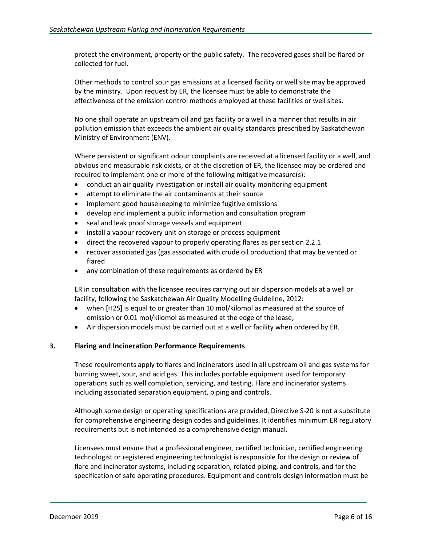protect the environment, property or the public safety. The recovered gases shall be flared or collected for fuel.

Other methods to control sour gas emissions at a licensed facility or well site may be approved by the ministry. Upon request by ER, the licensee must be able to demonstrate the effectiveness of the emission control methods employed at these facilities or well sites.

No one shall operate an upstream oil and gas facility or a well in a manner that results in air pollution emission that exceeds the ambient air quality standards prescribed by Saskatchewan Ministry of Environment (ENV).

Where persistent or significant odour complaints are received at a licensed facility or a well, and obvious and measurable risk exists, or at the discretion of ER, the licensee may be ordered and required to implement one or more of the following mitigative measure(s):

- conduct an air quality investigation or install air quality monitoring equipment
- attempt to eliminate the air contaminants at their source
- implement good housekeeping to minimize fugitive emissions
- develop and implement a public information and consultation program
- seal and leak proof storage vessels and equipment
- install a vapour recovery unit on storage or process equipment
- direct the recovered vapour to properly operating flares as per section 2.2.1
- recover associated gas (gas associated with crude oil production) that may be vented or flared
- any combination of these requirements as ordered by ER

ER in consultation with the licensee requires carrying out air dispersion models at a well or facility, following the Saskatchewan Air Quality Modelling Guideline, 2012:

- when [H2S] is equal to or greater than 10 mol/kilomol as measured at the source of emission or 0.01 mol/kilomol as measured at the edge of the lease;
- Air dispersion models must be carried out at a well or facility when ordered by ER.

# <span id="page-5-0"></span>**3. Flaring and Incineration Performance Requirements**

These requirements apply to flares and incinerators used in all upstream oil and gas systems for burning sweet, sour, and acid gas. This includes portable equipment used for temporary operations such as well completion, servicing, and testing. Flare and incinerator systems including associated separation equipment, piping and controls.

Although some design or operating specifications are provided, Directive S-20 is not a substitute for comprehensive engineering design codes and guidelines. It identifies minimum ER regulatory requirements but is not intended as a comprehensive design manual.

Licensees must ensure that a professional engineer, certified technician, certified engineering technologist or registered engineering technologist is responsible for the design or review of flare and incinerator systems, including separation, related piping, and controls, and for the specification of safe operating procedures. Equipment and controls design information must be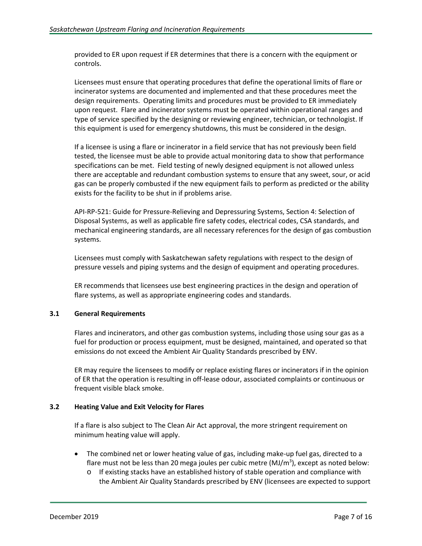provided to ER upon request if ER determines that there is a concern with the equipment or controls.

Licensees must ensure that operating procedures that define the operational limits of flare or incinerator systems are documented and implemented and that these procedures meet the design requirements. Operating limits and procedures must be provided to ER immediately upon request. Flare and incinerator systems must be operated within operational ranges and type of service specified by the designing or reviewing engineer, technician, or technologist. If this equipment is used for emergency shutdowns, this must be considered in the design.

If a licensee is using a flare or incinerator in a field service that has not previously been field tested, the licensee must be able to provide actual monitoring data to show that performance specifications can be met. Field testing of newly designed equipment is not allowed unless there are acceptable and redundant combustion systems to ensure that any sweet, sour, or acid gas can be properly combusted if the new equipment fails to perform as predicted or the ability exists for the facility to be shut in if problems arise.

API-RP-521: Guide for Pressure-Relieving and Depressuring Systems, Section 4: Selection of Disposal Systems, as well as applicable fire safety codes, electrical codes, CSA standards, and mechanical engineering standards, are all necessary references for the design of gas combustion systems.

Licensees must comply with Saskatchewan safety regulations with respect to the design of pressure vessels and piping systems and the design of equipment and operating procedures.

ER recommends that licensees use best engineering practices in the design and operation of flare systems, as well as appropriate engineering codes and standards.

# <span id="page-6-0"></span>**3.1 General Requirements**

Flares and incinerators, and other gas combustion systems, including those using sour gas as a fuel for production or process equipment, must be designed, maintained, and operated so that emissions do not exceed the Ambient Air Quality Standards prescribed by ENV.

ER may require the licensees to modify or replace existing flares or incinerators if in the opinion of ER that the operation is resulting in off-lease odour, associated complaints or continuous or frequent visible black smoke.

# <span id="page-6-1"></span>**3.2 Heating Value and Exit Velocity for Flares**

If a flare is also subject to The Clean Air Act approval, the more stringent requirement on minimum heating value will apply.

- The combined net or lower heating value of gas, including make-up fuel gas, directed to a flare must not be less than 20 mega joules per cubic metre (MJ/m<sup>3</sup>), except as noted below:
	- o If existing stacks have an established history of stable operation and compliance with the Ambient Air Quality Standards prescribed by ENV (licensees are expected to support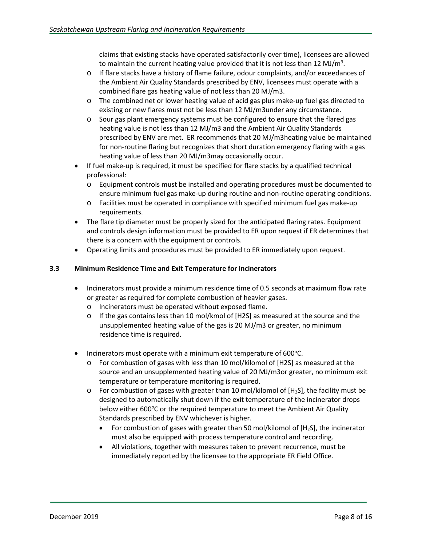claims that existing stacks have operated satisfactorily over time), licensees are allowed to maintain the current heating value provided that it is not less than 12 MJ/m<sup>3</sup>.

- o If flare stacks have a history of flame failure, odour complaints, and/or exceedances of the Ambient Air Quality Standards prescribed by ENV, licensees must operate with a combined flare gas heating value of not less than 20 MJ/m3.
- o The combined net or lower heating value of acid gas plus make-up fuel gas directed to existing or new flares must not be less than 12 MJ/m3under any circumstance.
- o Sour gas plant emergency systems must be configured to ensure that the flared gas heating value is not less than 12 MJ/m3 and the Ambient Air Quality Standards prescribed by ENV are met. ER recommends that 20 MJ/m3heating value be maintained for non-routine flaring but recognizes that short duration emergency flaring with a gas heating value of less than 20 MJ/m3may occasionally occur.
- If fuel make-up is required, it must be specified for flare stacks by a qualified technical professional:
	- o Equipment controls must be installed and operating procedures must be documented to ensure minimum fuel gas make-up during routine and non-routine operating conditions.
	- o Facilities must be operated in compliance with specified minimum fuel gas make-up requirements.
- The flare tip diameter must be properly sized for the anticipated flaring rates. Equipment and controls design information must be provided to ER upon request if ER determines that there is a concern with the equipment or controls.
- Operating limits and procedures must be provided to ER immediately upon request.

# <span id="page-7-0"></span>**3.3 Minimum Residence Time and Exit Temperature for Incinerators**

- Incinerators must provide a minimum residence time of 0.5 seconds at maximum flow rate or greater as required for complete combustion of heavier gases.
	- o Incinerators must be operated without exposed flame.
	- $\circ$  If the gas contains less than 10 mol/kmol of [H2S] as measured at the source and the unsupplemented heating value of the gas is 20 MJ/m3 or greater, no minimum residence time is required.
- Incinerators must operate with a minimum exit temperature of 600°C.
	- o For combustion of gases with less than 10 mol/kilomol of [H2S] as measured at the source and an unsupplemented heating value of 20 MJ/m3or greater, no minimum exit temperature or temperature monitoring is required.
	- $\circ$  For combustion of gases with greater than 10 mol/kilomol of [H<sub>2</sub>S], the facility must be designed to automatically shut down if the exit temperature of the incinerator drops below either 600°C or the required temperature to meet the Ambient Air Quality Standards prescribed by ENV whichever is higher.
		- For combustion of gases with greater than 50 mol/kilomol of  $[H<sub>2</sub>S]$ , the incinerator must also be equipped with process temperature control and recording.
		- All violations, together with measures taken to prevent recurrence, must be immediately reported by the licensee to the appropriate ER Field Office.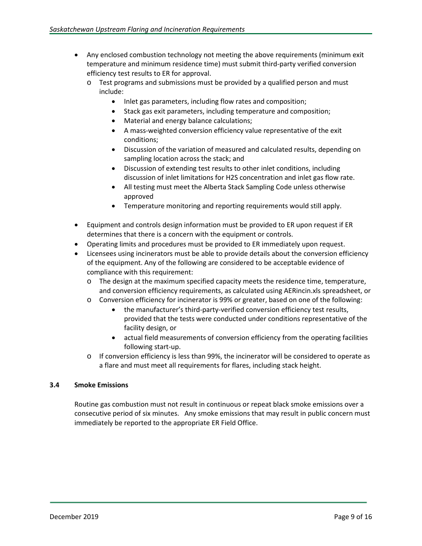- Any enclosed combustion technology not meeting the above requirements (minimum exit temperature and minimum residence time) must submit third-party verified conversion efficiency test results to ER for approval.
	- o Test programs and submissions must be provided by a qualified person and must include:
		- Inlet gas parameters, including flow rates and composition;
		- Stack gas exit parameters, including temperature and composition;
		- Material and energy balance calculations;
		- A mass-weighted conversion efficiency value representative of the exit conditions;
		- Discussion of the variation of measured and calculated results, depending on sampling location across the stack; and
		- Discussion of extending test results to other inlet conditions, including discussion of inlet limitations for H2S concentration and inlet gas flow rate.
		- All testing must meet the Alberta Stack Sampling Code unless otherwise approved
		- Temperature monitoring and reporting requirements would still apply.
- Equipment and controls design information must be provided to ER upon request if ER determines that there is a concern with the equipment or controls.
- Operating limits and procedures must be provided to ER immediately upon request.
- Licensees using incinerators must be able to provide details about the conversion efficiency of the equipment. Any of the following are considered to be acceptable evidence of compliance with this requirement:
	- o The design at the maximum specified capacity meets the residence time, temperature, and conversion efficiency requirements, as calculated using AERincin.xls spreadsheet, or
	- o Conversion efficiency for incinerator is 99% or greater, based on one of the following:
		- the manufacturer's third-party-verified conversion efficiency test results, provided that the tests were conducted under conditions representative of the facility design, or
		- actual field measurements of conversion efficiency from the operating facilities following start-up.
	- o If conversion efficiency is less than 99%, the incinerator will be considered to operate as a flare and must meet all requirements for flares, including stack height.

# <span id="page-8-0"></span>**3.4 Smoke Emissions**

Routine gas combustion must not result in continuous or repeat black smoke emissions over a consecutive period of six minutes. Any smoke emissions that may result in public concern must immediately be reported to the appropriate ER Field Office.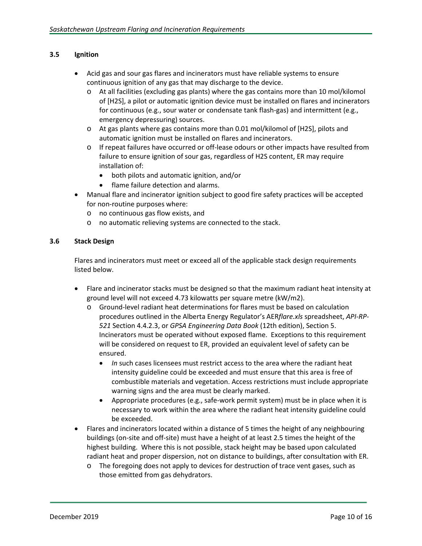# <span id="page-9-0"></span>**3.5 Ignition**

- Acid gas and sour gas flares and incinerators must have reliable systems to ensure continuous ignition of any gas that may discharge to the device.
	- o At all facilities (excluding gas plants) where the gas contains more than 10 mol/kilomol of [H2S], a pilot or automatic ignition device must be installed on flares and incinerators for continuous (e.g., sour water or condensate tank flash-gas) and intermittent (e.g., emergency depressuring) sources.
	- o At gas plants where gas contains more than 0.01 mol/kilomol of [H2S], pilots and automatic ignition must be installed on flares and incinerators.
	- o If repeat failures have occurred or off-lease odours or other impacts have resulted from failure to ensure ignition of sour gas, regardless of H2S content, ER may require installation of:
		- both pilots and automatic ignition, and/or
		- flame failure detection and alarms.
- Manual flare and incinerator ignition subject to good fire safety practices will be accepted for non-routine purposes where:
	- o no continuous gas flow exists, and
	- o no automatic relieving systems are connected to the stack.

# <span id="page-9-1"></span>**3.6 Stack Design**

Flares and incinerators must meet or exceed all of the applicable stack design requirements listed below.

- Flare and incinerator stacks must be designed so that the maximum radiant heat intensity at ground level will not exceed 4.73 kilowatts per square metre (kW/m2).
	- o Ground-level radiant heat determinations for flares must be based on calculation procedures outlined in the Alberta Energy Regulator's AER*flare.xls* spreadsheet, *API-RP-521* Section 4.4.2.3, or *GPSA Engineering Data Book* (12th edition), Section 5. Incinerators must be operated without exposed flame. Exceptions to this requirement will be considered on request to ER, provided an equivalent level of safety can be ensured.
		- *In* such cases licensees must restrict access to the area where the radiant heat intensity guideline could be exceeded and must ensure that this area is free of combustible materials and vegetation. Access restrictions must include appropriate warning signs and the area must be clearly marked.
		- Appropriate procedures (e.g., safe-work permit system) must be in place when it is necessary to work within the area where the radiant heat intensity guideline could be exceeded.
- Flares and incinerators located within a distance of 5 times the height of any neighbouring buildings (on-site and off-site) must have a height of at least 2.5 times the height of the highest building. Where this is not possible, stack height may be based upon calculated radiant heat and proper dispersion, not on distance to buildings, after consultation with ER.
	- o The foregoing does not apply to devices for destruction of trace vent gases, such as those emitted from gas dehydrators.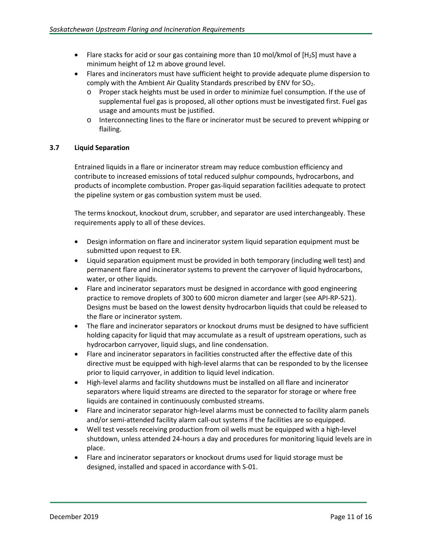- Flare stacks for acid or sour gas containing more than 10 mol/kmol of  $[H_2S]$  must have a minimum height of 12 m above ground level.
- Flares and incinerators must have sufficient height to provide adequate plume dispersion to comply with the Ambient Air Quality Standards prescribed by ENV for SO<sub>2</sub>.
	- o Proper stack heights must be used in order to minimize fuel consumption. If the use of supplemental fuel gas is proposed, all other options must be investigated first. Fuel gas usage and amounts must be justified.
	- o Interconnecting lines to the flare or incinerator must be secured to prevent whipping or flailing.

# <span id="page-10-0"></span>**3.7 Liquid Separation**

Entrained liquids in a flare or incinerator stream may reduce combustion efficiency and contribute to increased emissions of total reduced sulphur compounds, hydrocarbons, and products of incomplete combustion. Proper gas-liquid separation facilities adequate to protect the pipeline system or gas combustion system must be used.

The terms knockout, knockout drum, scrubber, and separator are used interchangeably. These requirements apply to all of these devices.

- Design information on flare and incinerator system liquid separation equipment must be submitted upon request to ER.
- Liquid separation equipment must be provided in both temporary (including well test) and permanent flare and incinerator systems to prevent the carryover of liquid hydrocarbons, water, or other liquids.
- Flare and incinerator separators must be designed in accordance with good engineering practice to remove droplets of 300 to 600 micron diameter and larger (see API-RP-521). Designs must be based on the lowest density hydrocarbon liquids that could be released to the flare or incinerator system.
- The flare and incinerator separators or knockout drums must be designed to have sufficient holding capacity for liquid that may accumulate as a result of upstream operations, such as hydrocarbon carryover, liquid slugs, and line condensation.
- Flare and incinerator separators in facilities constructed after the effective date of this directive must be equipped with high-level alarms that can be responded to by the licensee prior to liquid carryover, in addition to liquid level indication.
- High-level alarms and facility shutdowns must be installed on all flare and incinerator separators where liquid streams are directed to the separator for storage or where free liquids are contained in continuously combusted streams.
- Flare and incinerator separator high-level alarms must be connected to facility alarm panels and/or semi-attended facility alarm call-out systems if the facilities are so equipped.
- Well test vessels receiving production from oil wells must be equipped with a high-level shutdown, unless attended 24-hours a day and procedures for monitoring liquid levels are in place.
- Flare and incinerator separators or knockout drums used for liquid storage must be designed, installed and spaced in accordance with S-01.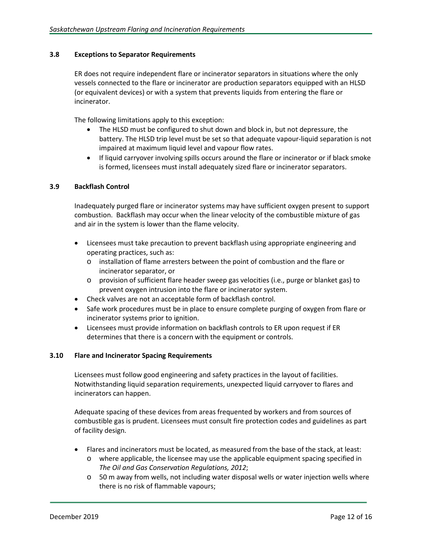# <span id="page-11-0"></span>**3.8 Exceptions to Separator Requirements**

ER does not require independent flare or incinerator separators in situations where the only vessels connected to the flare or incinerator are production separators equipped with an HLSD (or equivalent devices) or with a system that prevents liquids from entering the flare or incinerator.

The following limitations apply to this exception:

- The HLSD must be configured to shut down and block in, but not depressure, the battery. The HLSD trip level must be set so that adequate vapour-liquid separation is not impaired at maximum liquid level and vapour flow rates.
- If liquid carryover involving spills occurs around the flare or incinerator or if black smoke is formed, licensees must install adequately sized flare or incinerator separators.

# <span id="page-11-1"></span>**3.9 Backflash Control**

Inadequately purged flare or incinerator systems may have sufficient oxygen present to support combustion. Backflash may occur when the linear velocity of the combustible mixture of gas and air in the system is lower than the flame velocity.

- Licensees must take precaution to prevent backflash using appropriate engineering and operating practices, such as:
	- o installation of flame arresters between the point of combustion and the flare or incinerator separator, or
	- o provision of sufficient flare header sweep gas velocities (i.e., purge or blanket gas) to prevent oxygen intrusion into the flare or incinerator system.
- Check valves are not an acceptable form of backflash control.
- Safe work procedures must be in place to ensure complete purging of oxygen from flare or incinerator systems prior to ignition.
- Licensees must provide information on backflash controls to ER upon request if ER determines that there is a concern with the equipment or controls.

# <span id="page-11-2"></span>**3.10 Flare and Incinerator Spacing Requirements**

Licensees must follow good engineering and safety practices in the layout of facilities. Notwithstanding liquid separation requirements, unexpected liquid carryover to flares and incinerators can happen.

Adequate spacing of these devices from areas frequented by workers and from sources of combustible gas is prudent. Licensees must consult fire protection codes and guidelines as part of facility design.

- Flares and incinerators must be located, as measured from the base of the stack, at least:
	- o where applicable, the licensee may use the applicable equipment spacing specified in *The Oil and Gas Conservation Regulations, 2012*;
	- o 50 m away from wells, not including water disposal wells or water injection wells where there is no risk of flammable vapours;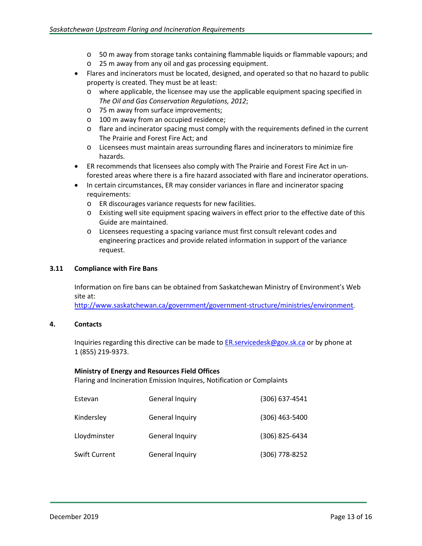- o 50 m away from storage tanks containing flammable liquids or flammable vapours; and
- o 25 m away from any oil and gas processing equipment.
- Flares and incinerators must be located, designed, and operated so that no hazard to public property is created. They must be at least:
	- o where applicable, the licensee may use the applicable equipment spacing specified in *The Oil and Gas Conservation Regulations, 2012*;
	- o 75 m away from surface improvements;
	- o 100 m away from an occupied residence;
	- o flare and incinerator spacing must comply with the requirements defined in the current The Prairie and Forest Fire Act; and
	- o Licensees must maintain areas surrounding flares and incinerators to minimize fire hazards.
- ER recommends that licensees also comply with The Prairie and Forest Fire Act in unforested areas where there is a fire hazard associated with flare and incinerator operations.
- In certain circumstances, ER may consider variances in flare and incinerator spacing requirements:
	- o ER discourages variance requests for new facilities.
	- o Existing well site equipment spacing waivers in effect prior to the effective date of this Guide are maintained.
	- o Licensees requesting a spacing variance must first consult relevant codes and engineering practices and provide related information in support of the variance request.

#### <span id="page-12-0"></span>**3.11 Compliance with Fire Bans**

Information on fire bans can be obtained from Saskatchewan Ministry of Environment's Web site at:

[http://www.saskatchewan.ca/government/government-structure/ministries/environment.](http://www.saskatchewan.ca/government/government-structure/ministries/environment)

# <span id="page-12-1"></span>**4. Contacts**

Inquiries regarding this directive can be made t[o ER.servicedesk@gov.sk.ca](mailto:ER.servicedesk@gov.sk.ca) or by phone at 1 (855) 219-9373.

#### **Ministry of Energy and Resources Field Offices**

Flaring and Incineration Emission Inquires, Notification or Complaints

| Estevan       | General Inquiry | (306) 637-4541 |
|---------------|-----------------|----------------|
| Kindersley    | General Inquiry | (306) 463-5400 |
| Lloydminster  | General Inquiry | (306) 825-6434 |
| Swift Current | General Inquiry | (306) 778-8252 |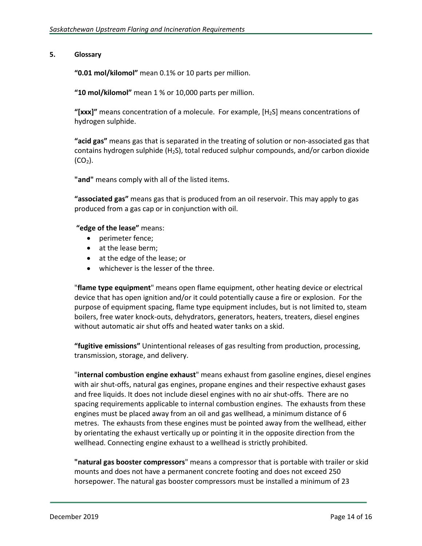# <span id="page-13-0"></span>**5. Glossary**

**"0.01 mol/kilomol"** mean 0.1% or 10 parts per million.

**"10 mol/kilomol"** mean 1 % or 10,000 parts per million.

**"[xxx]"** means concentration of a molecule. For example, [H2S] means concentrations of hydrogen sulphide.

**"acid gas"** means gas that is separated in the treating of solution or non-associated gas that contains hydrogen sulphide (H2S), total reduced sulphur compounds, and/or carbon dioxide  $(CO<sub>2</sub>)$ .

**"and"** means comply with all of the listed items.

**"associated gas"** means gas that is produced from an oil reservoir. This may apply to gas produced from a gas cap or in conjunction with oil.

# **"edge of the lease"** means:

- perimeter fence;
- at the lease berm;
- at the edge of the lease; or
- whichever is the lesser of the three.

"**flame type equipment**" means open flame equipment, other heating device or electrical device that has open ignition and/or it could potentially cause a fire or explosion. For the purpose of equipment spacing, flame type equipment includes, but is not limited to, steam boilers, free water knock-outs, dehydrators, generators, heaters, treaters, diesel engines without automatic air shut offs and heated water tanks on a skid.

**"fugitive emissions"** Unintentional releases of gas resulting from production, processing, transmission, storage, and delivery.

"**internal combustion engine exhaust**" means exhaust from gasoline engines, diesel engines with air shut-offs, natural gas engines, propane engines and their respective exhaust gases and free liquids. It does not include diesel engines with no air shut-offs. There are no spacing requirements applicable to internal combustion engines. The exhausts from these engines must be placed away from an oil and gas wellhead, a minimum distance of 6 metres. The exhausts from these engines must be pointed away from the wellhead, either by orientating the exhaust vertically up or pointing it in the opposite direction from the wellhead. Connecting engine exhaust to a wellhead is strictly prohibited.

**"natural gas booster compressors**" means a compressor that is portable with trailer or skid mounts and does not have a permanent concrete footing and does not exceed 250 horsepower. The natural gas booster compressors must be installed a minimum of 23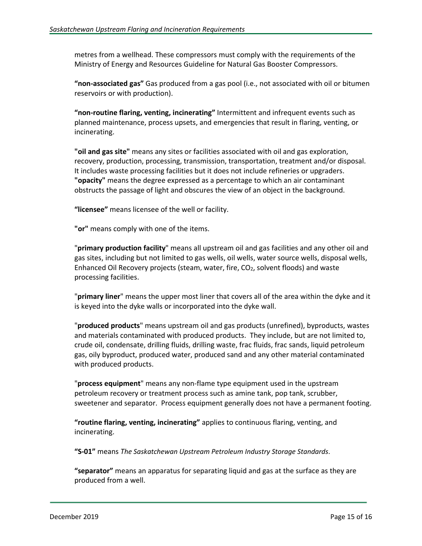metres from a wellhead. These compressors must comply with the requirements of the Ministry of Energy and Resources Guideline for Natural Gas Booster Compressors.

**"non-associated gas"** Gas produced from a gas pool (i.e., not associated with oil or bitumen reservoirs or with production).

**"non-routine flaring, venting, incinerating"** Intermittent and infrequent events such as planned maintenance, process upsets, and emergencies that result in flaring, venting, or incinerating.

**"oil and gas site"** means any sites or facilities associated with oil and gas exploration, recovery, production, processing, transmission, transportation, treatment and/or disposal. It includes waste processing facilities but it does not include refineries or upgraders. **"opacity"** means the degree expressed as a percentage to which an air contaminant obstructs the passage of light and obscures the view of an object in the background.

**"licensee"** means licensee of the well or facility.

**"or"** means comply with one of the items.

"**primary production facility**" means all upstream oil and gas facilities and any other oil and gas sites, including but not limited to gas wells, oil wells, water source wells, disposal wells, Enhanced Oil Recovery projects (steam, water, fire,  $CO<sub>2</sub>$ , solvent floods) and waste processing facilities.

"**primary liner**" means the upper most liner that covers all of the area within the dyke and it is keyed into the dyke walls or incorporated into the dyke wall.

"**produced products**" means upstream oil and gas products (unrefined), byproducts, wastes and materials contaminated with produced products. They include, but are not limited to, crude oil, condensate, drilling fluids, drilling waste, frac fluids, frac sands, liquid petroleum gas, oily byproduct, produced water, produced sand and any other material contaminated with produced products.

"**process equipment**" means any non-flame type equipment used in the upstream petroleum recovery or treatment process such as amine tank, pop tank, scrubber, sweetener and separator. Process equipment generally does not have a permanent footing.

**"routine flaring, venting, incinerating"** applies to continuous flaring, venting, and incinerating.

**"S-01"** means *The Saskatchewan Upstream Petroleum Industry Storage Standards*.

**"separator"** means an apparatus for separating liquid and gas at the surface as they are produced from a well.